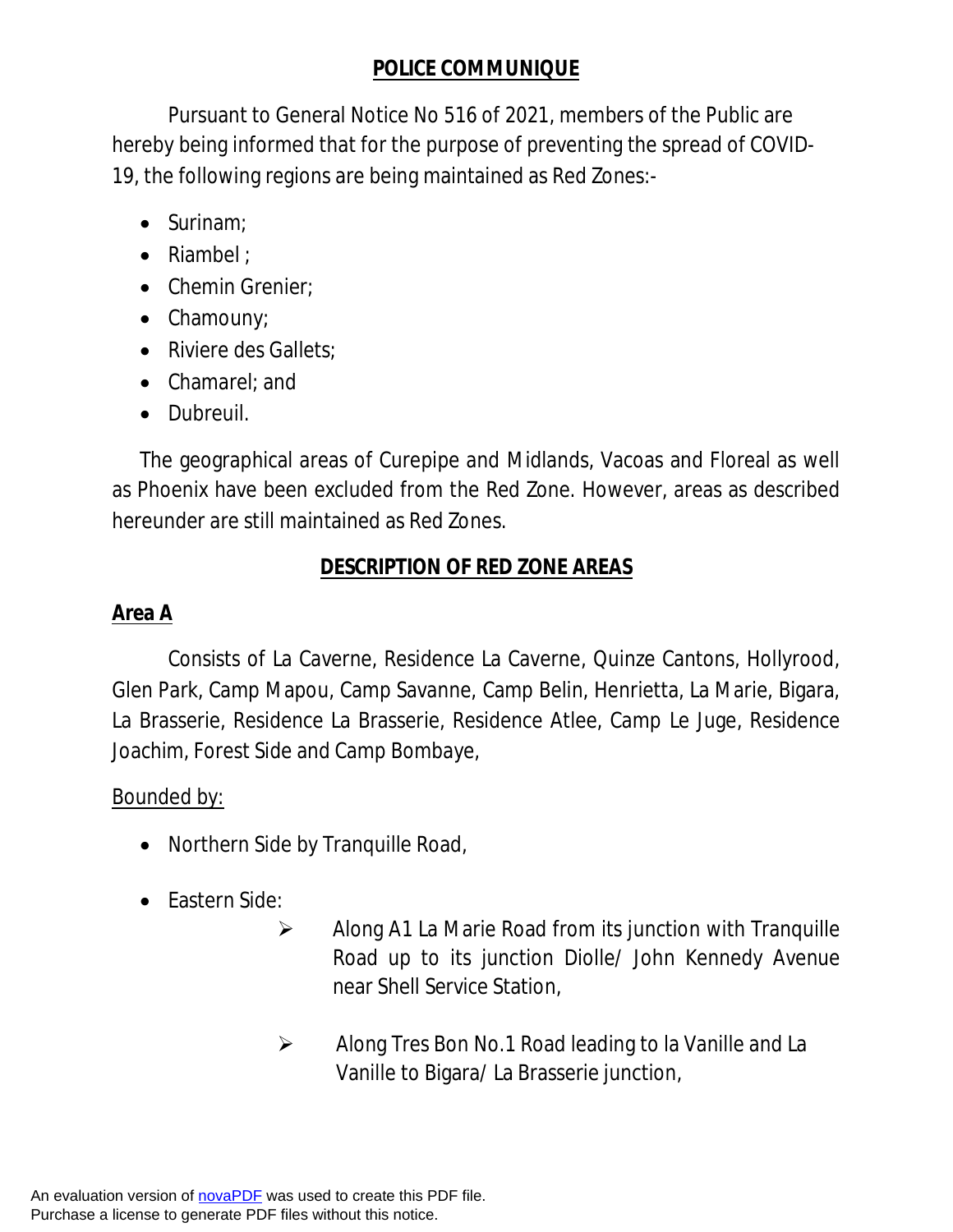# **POLICE COMMUNIQUE**

Pursuant to General Notice No 516 of 2021, members of the Public are hereby being informed that for the purpose of preventing the spread of COVID-19, the following regions are being maintained as Red Zones:-

- $\bullet$  Surinam:
- Riambel ;
- Chemin Grenier;
- Chamouny;
- Riviere des Gallets;
- Chamarel; and
- Dubreuil.

The geographical areas of Curepipe and Midlands, Vacoas and Floreal as well as Phoenix have been excluded from the Red Zone. However, areas as described hereunder are still maintained as Red Zones.

## **DESCRIPTION OF RED ZONE AREAS**

# **Area A**

Consists of La Caverne, Residence La Caverne, Quinze Cantons, Hollyrood, Glen Park, Camp Mapou, Camp Savanne, Camp Belin, Henrietta, La Marie, Bigara, La Brasserie, Residence La Brasserie, Residence Atlee, Camp Le Juge, Residence Joachim, Forest Side and Camp Bombaye,

## Bounded by:

- Northern Side by Tranquille Road,
- Eastern Side:
	- $\triangleright$  Along A1 La Marie Road from its junction with Tranquille Road up to its junction Diolle/ John Kennedy Avenue near Shell Service Station,
	- Along Tres Bon No.1 Road leading to la Vanille and La Vanille to Bigara/ La Brasserie junction,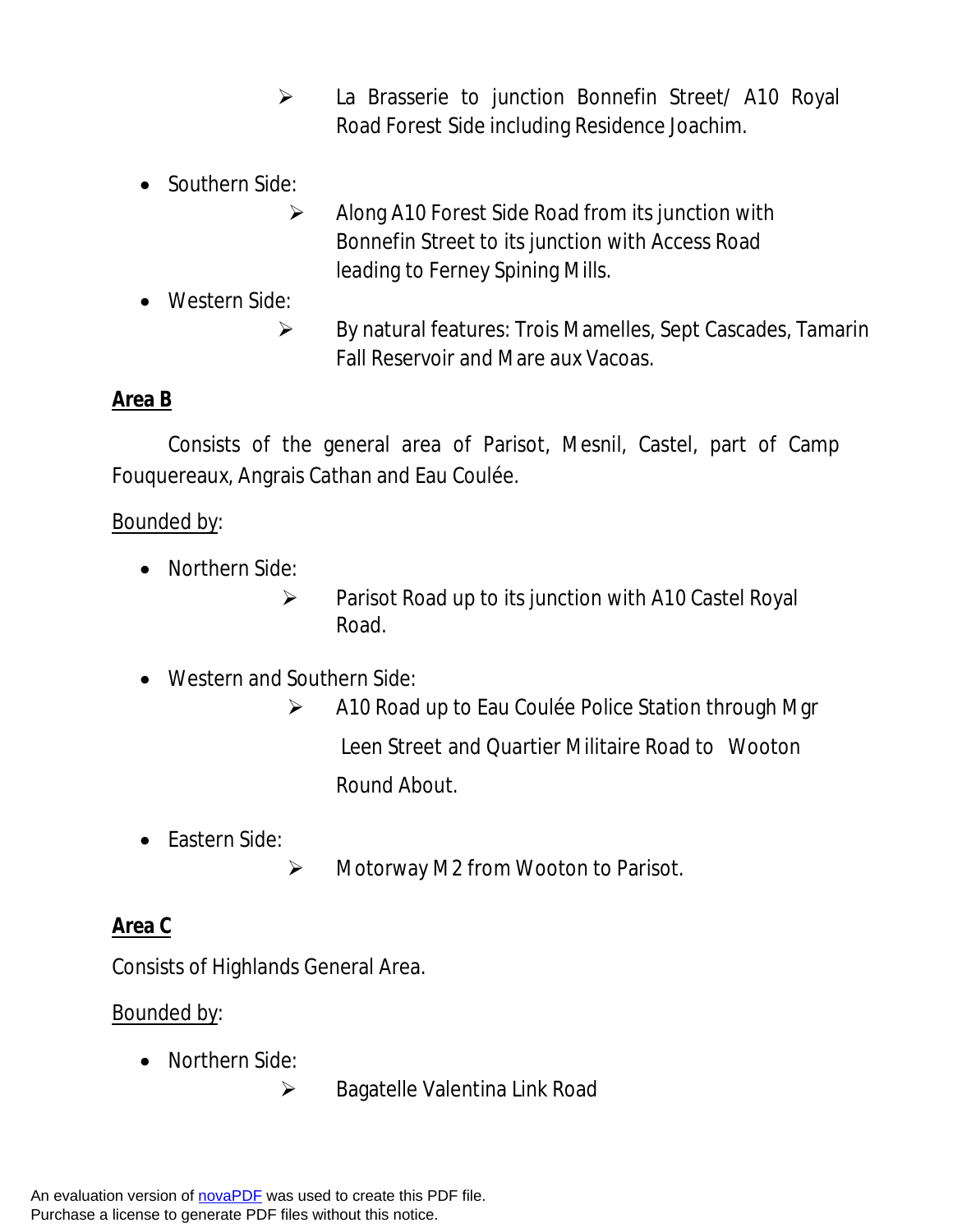- La Brasserie to junction Bonnefin Street/ A10 Royal Road Forest Side including Residence Joachim.
- Southern Side:
	- $\triangleright$  Along A10 Forest Side Road from its junction with Bonnefin Street to its junction with Access Road leading to Ferney Spining Mills.
- Western Side:
	- $\triangleright$  By natural features: Trois Mamelles, Sept Cascades, Tamarin Fall Reservoir and Mare aux Vacoas.

## **Area B**

Consists of the general area of Parisot, Mesnil, Castel, part of Camp Fouquereaux, Angrais Cathan and Eau Coulée.

#### Bounded by:

- Northern Side:
	- $\triangleright$  Parisot Road up to its junction with A10 Castel Royal Road.
- Western and Southern Side:
	- $\triangleright$  A10 Road up to Eau Coulée Police Station through Mgr Leen Street and Quartier Militaire Road to Wooton Round About.
- Eastern Side:
	- Motorway M2 from Wooton to Parisot.

### **Area C**

Consists of Highlands General Area.

#### Bounded by:

- Northern Side:
	- ▶ Bagatelle Valentina Link Road